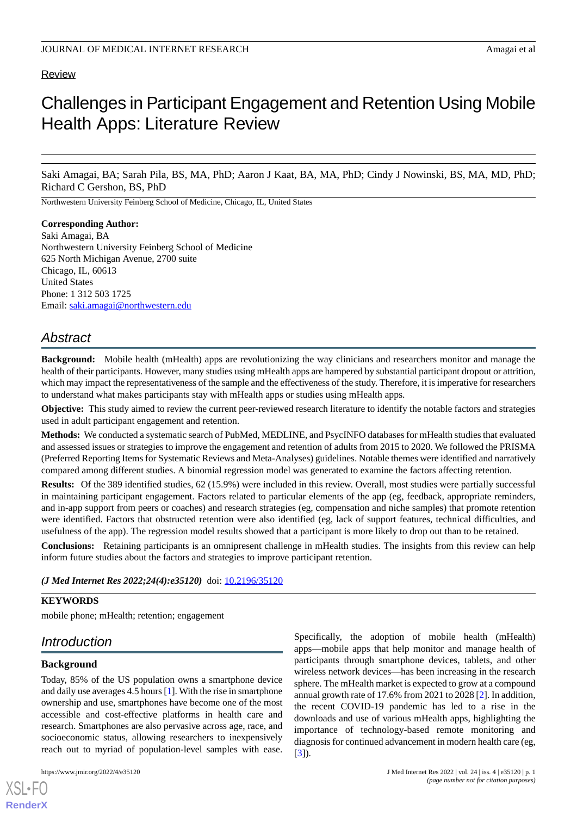# Review

# Challenges in Participant Engagement and Retention Using Mobile Health Apps: Literature Review

Saki Amagai, BA; Sarah Pila, BS, MA, PhD; Aaron J Kaat, BA, MA, PhD; Cindy J Nowinski, BS, MA, MD, PhD; Richard C Gershon, BS, PhD

Northwestern University Feinberg School of Medicine, Chicago, IL, United States

#### **Corresponding Author:**

Saki Amagai, BA Northwestern University Feinberg School of Medicine 625 North Michigan Avenue, 2700 suite Chicago, IL, 60613 United States Phone: 1 312 503 1725 Email: [saki.amagai@northwestern.edu](mailto:saki.amagai@northwestern.edu)

# *Abstract*

**Background:** Mobile health (mHealth) apps are revolutionizing the way clinicians and researchers monitor and manage the health of their participants. However, many studies using mHealth apps are hampered by substantial participant dropout or attrition, which may impact the representativeness of the sample and the effectiveness of the study. Therefore, it is imperative for researchers to understand what makes participants stay with mHealth apps or studies using mHealth apps.

**Objective:** This study aimed to review the current peer-reviewed research literature to identify the notable factors and strategies used in adult participant engagement and retention.

**Methods:** We conducted a systematic search of PubMed, MEDLINE, and PsycINFO databases for mHealth studies that evaluated and assessed issues or strategies to improve the engagement and retention of adults from 2015 to 2020. We followed the PRISMA (Preferred Reporting Items for Systematic Reviews and Meta-Analyses) guidelines. Notable themes were identified and narratively compared among different studies. A binomial regression model was generated to examine the factors affecting retention.

**Results:** Of the 389 identified studies, 62 (15.9%) were included in this review. Overall, most studies were partially successful in maintaining participant engagement. Factors related to particular elements of the app (eg, feedback, appropriate reminders, and in-app support from peers or coaches) and research strategies (eg, compensation and niche samples) that promote retention were identified. Factors that obstructed retention were also identified (eg, lack of support features, technical difficulties, and usefulness of the app). The regression model results showed that a participant is more likely to drop out than to be retained.

**Conclusions:** Retaining participants is an omnipresent challenge in mHealth studies. The insights from this review can help inform future studies about the factors and strategies to improve participant retention.

(*J Med Internet Res 2022;24(4):e35120*) doi: **[10.2196/35120](http://dx.doi.org/10.2196/35120)** 

#### **KEYWORDS**

mobile phone; mHealth; retention; engagement

# *Introduction*

#### **Background**

[XSL](http://www.w3.org/Style/XSL)•FO **[RenderX](http://www.renderx.com/)**

Today, 85% of the US population owns a smartphone device and daily use averages 4.5 hours [\[1](#page-6-0)]. With the rise in smartphone ownership and use, smartphones have become one of the most accessible and cost-effective platforms in health care and research. Smartphones are also pervasive across age, race, and socioeconomic status, allowing researchers to inexpensively reach out to myriad of population-level samples with ease.

Specifically, the adoption of mobile health (mHealth) apps—mobile apps that help monitor and manage health of participants through smartphone devices, tablets, and other wireless network devices—has been increasing in the research sphere. The mHealth market is expected to grow at a compound annual growth rate of 17.6% from 2021 to 2028 [[2\]](#page-6-1). In addition, the recent COVID-19 pandemic has led to a rise in the downloads and use of various mHealth apps, highlighting the importance of technology-based remote monitoring and diagnosis for continued advancement in modern health care (eg, [[3\]](#page-7-0)).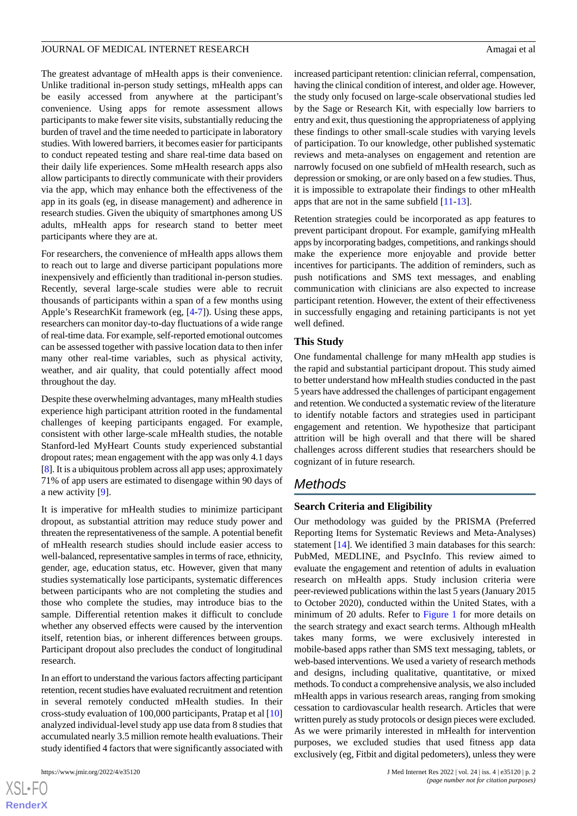The greatest advantage of mHealth apps is their convenience. Unlike traditional in-person study settings, mHealth apps can be easily accessed from anywhere at the participant's convenience. Using apps for remote assessment allows participants to make fewer site visits, substantially reducing the burden of travel and the time needed to participate in laboratory studies. With lowered barriers, it becomes easier for participants to conduct repeated testing and share real-time data based on their daily life experiences. Some mHealth research apps also allow participants to directly communicate with their providers via the app, which may enhance both the effectiveness of the app in its goals (eg, in disease management) and adherence in research studies. Given the ubiquity of smartphones among US adults, mHealth apps for research stand to better meet participants where they are at.

For researchers, the convenience of mHealth apps allows them to reach out to large and diverse participant populations more inexpensively and efficiently than traditional in-person studies. Recently, several large-scale studies were able to recruit thousands of participants within a span of a few months using Apple's ResearchKit framework (eg, [[4-](#page-7-1)[7](#page-7-2)]). Using these apps, researchers can monitor day-to-day fluctuations of a wide range of real-time data. For example, self-reported emotional outcomes can be assessed together with passive location data to then infer many other real-time variables, such as physical activity, weather, and air quality, that could potentially affect mood throughout the day.

Despite these overwhelming advantages, many mHealth studies experience high participant attrition rooted in the fundamental challenges of keeping participants engaged. For example, consistent with other large-scale mHealth studies, the notable Stanford-led MyHeart Counts study experienced substantial dropout rates; mean engagement with the app was only 4.1 days [[8\]](#page-7-3). It is a ubiquitous problem across all app uses; approximately 71% of app users are estimated to disengage within 90 days of a new activity [[9\]](#page-7-4).

It is imperative for mHealth studies to minimize participant dropout, as substantial attrition may reduce study power and threaten the representativeness of the sample. A potential benefit of mHealth research studies should include easier access to well-balanced, representative samples in terms of race, ethnicity, gender, age, education status, etc. However, given that many studies systematically lose participants, systematic differences between participants who are not completing the studies and those who complete the studies, may introduce bias to the sample. Differential retention makes it difficult to conclude whether any observed effects were caused by the intervention itself, retention bias, or inherent differences between groups. Participant dropout also precludes the conduct of longitudinal research.

In an effort to understand the various factors affecting participant retention, recent studies have evaluated recruitment and retention in several remotely conducted mHealth studies. In their cross-study evaluation of 100,000 participants, Pratap et al [\[10](#page-7-5)] analyzed individual-level study app use data from 8 studies that accumulated nearly 3.5 million remote health evaluations. Their study identified 4 factors that were significantly associated with

increased participant retention: clinician referral, compensation, having the clinical condition of interest, and older age. However, the study only focused on large-scale observational studies led by the Sage or Research Kit, with especially low barriers to entry and exit, thus questioning the appropriateness of applying these findings to other small-scale studies with varying levels of participation. To our knowledge, other published systematic reviews and meta-analyses on engagement and retention are narrowly focused on one subfield of mHealth research, such as depression or smoking, or are only based on a few studies. Thus, it is impossible to extrapolate their findings to other mHealth apps that are not in the same subfield [[11](#page-7-6)[-13](#page-7-7)].

Retention strategies could be incorporated as app features to prevent participant dropout. For example, gamifying mHealth apps by incorporating badges, competitions, and rankings should make the experience more enjoyable and provide better incentives for participants. The addition of reminders, such as push notifications and SMS text messages, and enabling communication with clinicians are also expected to increase participant retention. However, the extent of their effectiveness in successfully engaging and retaining participants is not yet well defined.

#### **This Study**

One fundamental challenge for many mHealth app studies is the rapid and substantial participant dropout. This study aimed to better understand how mHealth studies conducted in the past 5 years have addressed the challenges of participant engagement and retention. We conducted a systematic review of the literature to identify notable factors and strategies used in participant engagement and retention. We hypothesize that participant attrition will be high overall and that there will be shared challenges across different studies that researchers should be cognizant of in future research.

# *Methods*

#### **Search Criteria and Eligibility**

Our methodology was guided by the PRISMA (Preferred Reporting Items for Systematic Reviews and Meta-Analyses) statement [[14\]](#page-7-8). We identified 3 main databases for this search: PubMed, MEDLINE, and PsycInfo. This review aimed to evaluate the engagement and retention of adults in evaluation research on mHealth apps. Study inclusion criteria were peer-reviewed publications within the last 5 years (January 2015 to October 2020), conducted within the United States, with a minimum of 20 adults. Refer to [Figure 1](#page-2-0) for more details on the search strategy and exact search terms. Although mHealth takes many forms, we were exclusively interested in mobile-based apps rather than SMS text messaging, tablets, or web-based interventions. We used a variety of research methods and designs, including qualitative, quantitative, or mixed methods. To conduct a comprehensive analysis, we also included mHealth apps in various research areas, ranging from smoking cessation to cardiovascular health research. Articles that were written purely as study protocols or design pieces were excluded. As we were primarily interested in mHealth for intervention purposes, we excluded studies that used fitness app data exclusively (eg, Fitbit and digital pedometers), unless they were

```
XSL•FO
RenderX
```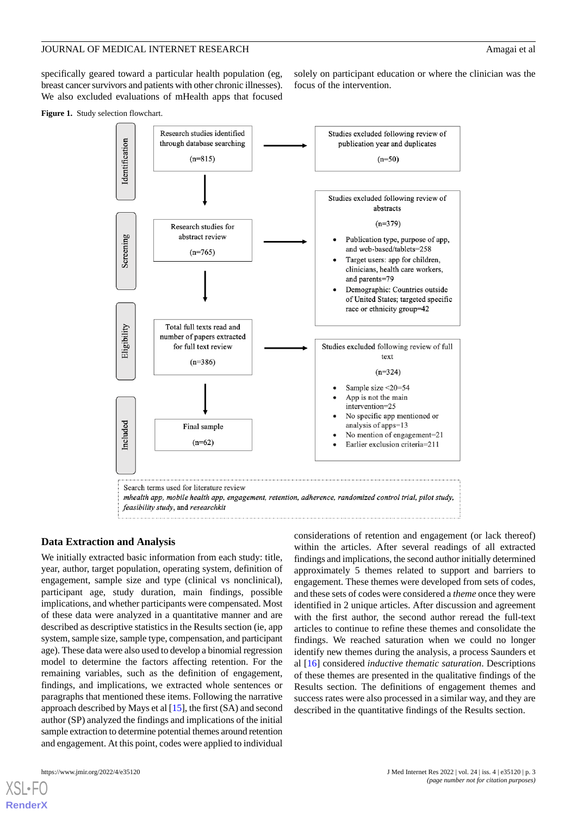solely on participant education or where the clinician was the

focus of the intervention.

specifically geared toward a particular health population (eg, breast cancer survivors and patients with other chronic illnesses). We also excluded evaluations of mHealth apps that focused

<span id="page-2-0"></span>**Figure 1.** Study selection flowchart.



#### **Data Extraction and Analysis**

We initially extracted basic information from each study: title, year, author, target population, operating system, definition of engagement, sample size and type (clinical vs nonclinical), participant age, study duration, main findings, possible implications, and whether participants were compensated. Most of these data were analyzed in a quantitative manner and are described as descriptive statistics in the Results section (ie, app system, sample size, sample type, compensation, and participant age). These data were also used to develop a binomial regression model to determine the factors affecting retention. For the remaining variables, such as the definition of engagement, findings, and implications, we extracted whole sentences or paragraphs that mentioned these items. Following the narrative approach described by Mays et al [[15\]](#page-7-9), the first (SA) and second author (SP) analyzed the findings and implications of the initial sample extraction to determine potential themes around retention and engagement. At this point, codes were applied to individual

considerations of retention and engagement (or lack thereof) within the articles. After several readings of all extracted findings and implications, the second author initially determined approximately 5 themes related to support and barriers to engagement. These themes were developed from sets of codes, and these sets of codes were considered a *theme* once they were identified in 2 unique articles. After discussion and agreement with the first author, the second author reread the full-text articles to continue to refine these themes and consolidate the findings. We reached saturation when we could no longer identify new themes during the analysis, a process Saunders et al [[16\]](#page-7-10) considered *inductive thematic saturation*. Descriptions of these themes are presented in the qualitative findings of the Results section. The definitions of engagement themes and success rates were also processed in a similar way, and they are described in the quantitative findings of the Results section.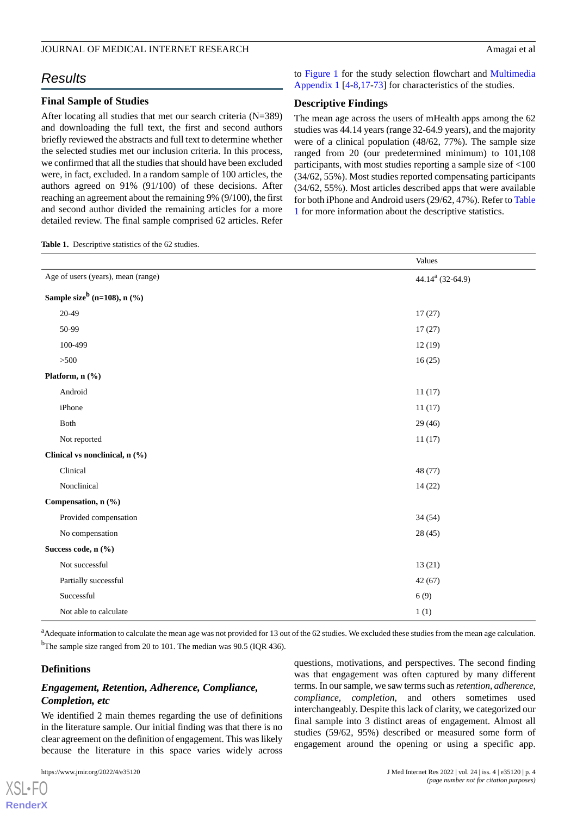# *Results*

#### **Final Sample of Studies**

After locating all studies that met our search criteria (N=389) and downloading the full text, the first and second authors briefly reviewed the abstracts and full text to determine whether the selected studies met our inclusion criteria. In this process, we confirmed that all the studies that should have been excluded were, in fact, excluded. In a random sample of 100 articles, the authors agreed on 91% (91/100) of these decisions. After reaching an agreement about the remaining 9% (9/100), the first and second author divided the remaining articles for a more detailed review. The final sample comprised 62 articles. Refer

<span id="page-3-0"></span>**Table 1.** Descriptive statistics of the 62 studies.

to [Figure 1](#page-2-0) for the study selection flowchart and [Multimedia](#page-6-2) [Appendix 1](#page-6-2) [\[4](#page-7-1)-[8,](#page-7-3)[17](#page-7-11)-[73\]](#page-10-0) for characteristics of the studies.

## **Descriptive Findings**

The mean age across the users of mHealth apps among the 62 studies was 44.14 years (range 32-64.9 years), and the majority were of a clinical population (48/62, 77%). The sample size ranged from 20 (our predetermined minimum) to 101,108 participants, with most studies reporting a sample size of <100 (34/62, 55%). Most studies reported compensating participants (34/62, 55%). Most articles described apps that were available for both iPhone and Android users (29/62, 47%). Refer to [Table](#page-3-0) [1](#page-3-0) for more information about the descriptive statistics.

|                                            | Values                       |
|--------------------------------------------|------------------------------|
| Age of users (years), mean (range)         | 44.14 <sup>a</sup> (32-64.9) |
| Sample size <sup>b</sup> (n=108), n $(\%)$ |                              |
| 20-49                                      | 17(27)                       |
| 50-99                                      | 17(27)                       |
| 100-499                                    | 12(19)                       |
| $>500$                                     | 16(25)                       |
| Platform, n (%)                            |                              |
| Android                                    | 11(17)                       |
| iPhone                                     | 11(17)                       |
| Both                                       | 29(46)                       |
| Not reported                               | 11(17)                       |
| Clinical vs nonclinical, n (%)             |                              |
| Clinical                                   | 48 (77)                      |
| Nonclinical                                | 14(22)                       |
| Compensation, n (%)                        |                              |
| Provided compensation                      | 34(54)                       |
| No compensation                            | 28(45)                       |
| Success code, n (%)                        |                              |
| Not successful                             | 13(21)                       |
| Partially successful                       | 42(67)                       |
| Successful                                 | 6(9)                         |
| Not able to calculate                      | 1(1)                         |

<sup>a</sup>Adequate information to calculate the mean age was not provided for 13 out of the 62 studies. We excluded these studies from the mean age calculation. <sup>b</sup>The sample size ranged from 20 to 101. The median was 90.5 (IQR 436).

#### **Definitions**

[XSL](http://www.w3.org/Style/XSL)•FO **[RenderX](http://www.renderx.com/)**

# *Engagement, Retention, Adherence, Compliance, Completion, etc*

We identified 2 main themes regarding the use of definitions in the literature sample. Our initial finding was that there is no clear agreement on the definition of engagement. This was likely because the literature in this space varies widely across

questions, motivations, and perspectives. The second finding was that engagement was often captured by many different terms. In our sample, we saw terms such as *retention, adherence, compliance, completion*, and others sometimes used interchangeably. Despite this lack of clarity, we categorized our final sample into 3 distinct areas of engagement. Almost all studies (59/62, 95%) described or measured some form of engagement around the opening or using a specific app.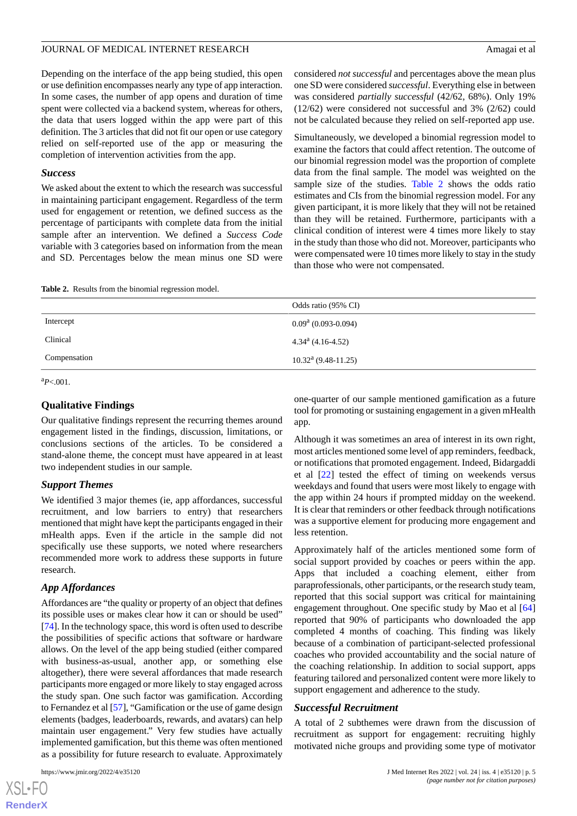Depending on the interface of the app being studied, this open or use definition encompasses nearly any type of app interaction. In some cases, the number of app opens and duration of time spent were collected via a backend system, whereas for others, the data that users logged within the app were part of this definition. The 3 articles that did not fit our open or use category relied on self-reported use of the app or measuring the completion of intervention activities from the app.

#### *Success*

We asked about the extent to which the research was successful in maintaining participant engagement. Regardless of the term used for engagement or retention, we defined success as the percentage of participants with complete data from the initial sample after an intervention. We defined a *Success Code* variable with 3 categories based on information from the mean and SD. Percentages below the mean minus one SD were considered *not successful* and percentages above the mean plus one SD were considered *successful*. Everything else in between was considered *partially successful* (42/62, 68%). Only 19% (12/62) were considered not successful and 3% (2/62) could not be calculated because they relied on self-reported app use.

Simultaneously, we developed a binomial regression model to examine the factors that could affect retention. The outcome of our binomial regression model was the proportion of complete data from the final sample. The model was weighted on the sample size of the studies. [Table 2](#page-4-0) shows the odds ratio estimates and CIs from the binomial regression model. For any given participant, it is more likely that they will not be retained than they will be retained. Furthermore, participants with a clinical condition of interest were 4 times more likely to stay in the study than those who did not. Moreover, participants who were compensated were 10 times more likely to stay in the study than those who were not compensated.

<span id="page-4-0"></span>

| Table 2. Results from the binomial regression model. |  |
|------------------------------------------------------|--|
|------------------------------------------------------|--|

|              | Odds ratio (95% CI)               |
|--------------|-----------------------------------|
| Intercept    | $0.09^a$ (0.093-0.094)            |
| Clinical     | $4.34^a$ (4.16-4.52)              |
| Compensation | $10.32^{\text{a}} (9.48 - 11.25)$ |

 ${}^{a}P<.001$ .

# **Qualitative Findings**

Our qualitative findings represent the recurring themes around engagement listed in the findings, discussion, limitations, or conclusions sections of the articles. To be considered a stand-alone theme, the concept must have appeared in at least two independent studies in our sample.

#### *Support Themes*

We identified 3 major themes (ie, app affordances, successful recruitment, and low barriers to entry) that researchers mentioned that might have kept the participants engaged in their mHealth apps. Even if the article in the sample did not specifically use these supports, we noted where researchers recommended more work to address these supports in future research.

# *App Affordances*

Affordances are "the quality or property of an object that defines its possible uses or makes clear how it can or should be used" [[74\]](#page-10-1). In the technology space, this word is often used to describe the possibilities of specific actions that software or hardware allows. On the level of the app being studied (either compared with business-as-usual, another app, or something else altogether), there were several affordances that made research participants more engaged or more likely to stay engaged across the study span. One such factor was gamification. According to Fernandez et al [[57\]](#page-9-0), "Gamification or the use of game design elements (badges, leaderboards, rewards, and avatars) can help maintain user engagement." Very few studies have actually implemented gamification, but this theme was often mentioned as a possibility for future research to evaluate. Approximately

one-quarter of our sample mentioned gamification as a future tool for promoting or sustaining engagement in a given mHealth app.

Although it was sometimes an area of interest in its own right, most articles mentioned some level of app reminders, feedback, or notifications that promoted engagement. Indeed, Bidargaddi et al [[22\]](#page-7-12) tested the effect of timing on weekends versus weekdays and found that users were most likely to engage with the app within 24 hours if prompted midday on the weekend. It is clear that reminders or other feedback through notifications was a supportive element for producing more engagement and less retention.

Approximately half of the articles mentioned some form of social support provided by coaches or peers within the app. Apps that included a coaching element, either from paraprofessionals, other participants, or the research study team, reported that this social support was critical for maintaining engagement throughout. One specific study by Mao et al [\[64](#page-10-2)] reported that 90% of participants who downloaded the app completed 4 months of coaching. This finding was likely because of a combination of participant-selected professional coaches who provided accountability and the social nature of the coaching relationship. In addition to social support, apps featuring tailored and personalized content were more likely to support engagement and adherence to the study.

#### *Successful Recruitment*

A total of 2 subthemes were drawn from the discussion of recruitment as support for engagement: recruiting highly motivated niche groups and providing some type of motivator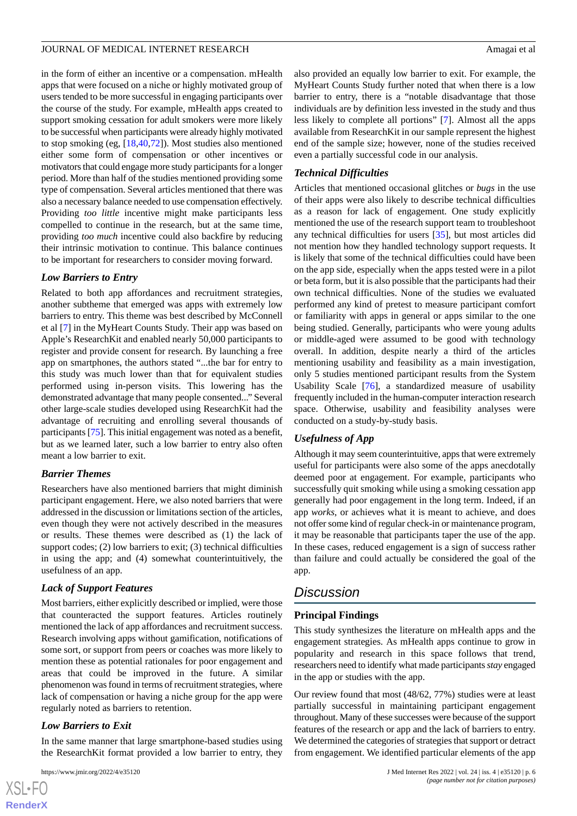in the form of either an incentive or a compensation. mHealth apps that were focused on a niche or highly motivated group of users tended to be more successful in engaging participants over the course of the study. For example, mHealth apps created to support smoking cessation for adult smokers were more likely to be successful when participants were already highly motivated to stop smoking (eg, [\[18](#page-7-13),[40](#page-8-0)[,72](#page-10-3)]). Most studies also mentioned either some form of compensation or other incentives or motivators that could engage more study participants for a longer period. More than half of the studies mentioned providing some type of compensation. Several articles mentioned that there was also a necessary balance needed to use compensation effectively. Providing *too little* incentive might make participants less compelled to continue in the research, but at the same time, providing *too much* incentive could also backfire by reducing their intrinsic motivation to continue. This balance continues to be important for researchers to consider moving forward.

#### *Low Barriers to Entry*

Related to both app affordances and recruitment strategies, another subtheme that emerged was apps with extremely low barriers to entry. This theme was best described by McConnell et al [\[7](#page-7-2)] in the MyHeart Counts Study. Their app was based on Apple's ResearchKit and enabled nearly 50,000 participants to register and provide consent for research. By launching a free app on smartphones, the authors stated "...the bar for entry to this study was much lower than that for equivalent studies performed using in-person visits. This lowering has the demonstrated advantage that many people consented..." Several other large-scale studies developed using ResearchKit had the advantage of recruiting and enrolling several thousands of participants [[75](#page-10-4)]. This initial engagement was noted as a benefit, but as we learned later, such a low barrier to entry also often meant a low barrier to exit.

## *Barrier Themes*

Researchers have also mentioned barriers that might diminish participant engagement. Here, we also noted barriers that were addressed in the discussion or limitations section of the articles, even though they were not actively described in the measures or results. These themes were described as (1) the lack of support codes; (2) low barriers to exit; (3) technical difficulties in using the app; and (4) somewhat counterintuitively, the usefulness of an app.

# *Lack of Support Features*

Most barriers, either explicitly described or implied, were those that counteracted the support features. Articles routinely mentioned the lack of app affordances and recruitment success. Research involving apps without gamification, notifications of some sort, or support from peers or coaches was more likely to mention these as potential rationales for poor engagement and areas that could be improved in the future. A similar phenomenon was found in terms of recruitment strategies, where lack of compensation or having a niche group for the app were regularly noted as barriers to retention.

## *Low Barriers to Exit*

In the same manner that large smartphone-based studies using the ResearchKit format provided a low barrier to entry, they

[XSL](http://www.w3.org/Style/XSL)•FO **[RenderX](http://www.renderx.com/)** also provided an equally low barrier to exit. For example, the MyHeart Counts Study further noted that when there is a low barrier to entry, there is a "notable disadvantage that those individuals are by definition less invested in the study and thus less likely to complete all portions" [[7\]](#page-7-2). Almost all the apps available from ResearchKit in our sample represent the highest end of the sample size; however, none of the studies received even a partially successful code in our analysis.

#### *Technical Difficulties*

Articles that mentioned occasional glitches or *bugs* in the use of their apps were also likely to describe technical difficulties as a reason for lack of engagement. One study explicitly mentioned the use of the research support team to troubleshoot any technical difficulties for users [[35\]](#page-8-1), but most articles did not mention how they handled technology support requests. It is likely that some of the technical difficulties could have been on the app side, especially when the apps tested were in a pilot or beta form, but it is also possible that the participants had their own technical difficulties. None of the studies we evaluated performed any kind of pretest to measure participant comfort or familiarity with apps in general or apps similar to the one being studied. Generally, participants who were young adults or middle-aged were assumed to be good with technology overall. In addition, despite nearly a third of the articles mentioning usability and feasibility as a main investigation, only 5 studies mentioned participant results from the System Usability Scale [[76\]](#page-10-5), a standardized measure of usability frequently included in the human-computer interaction research space. Otherwise, usability and feasibility analyses were conducted on a study-by-study basis.

## *Usefulness of App*

Although it may seem counterintuitive, apps that were extremely useful for participants were also some of the apps anecdotally deemed poor at engagement. For example, participants who successfully quit smoking while using a smoking cessation app generally had poor engagement in the long term. Indeed, if an app *works*, or achieves what it is meant to achieve, and does not offer some kind of regular check-in or maintenance program, it may be reasonable that participants taper the use of the app. In these cases, reduced engagement is a sign of success rather than failure and could actually be considered the goal of the app.

# *Discussion*

#### **Principal Findings**

This study synthesizes the literature on mHealth apps and the engagement strategies. As mHealth apps continue to grow in popularity and research in this space follows that trend, researchers need to identify what made participants *stay* engaged in the app or studies with the app.

Our review found that most (48/62, 77%) studies were at least partially successful in maintaining participant engagement throughout. Many of these successes were because of the support features of the research or app and the lack of barriers to entry. We determined the categories of strategies that support or detract from engagement. We identified particular elements of the app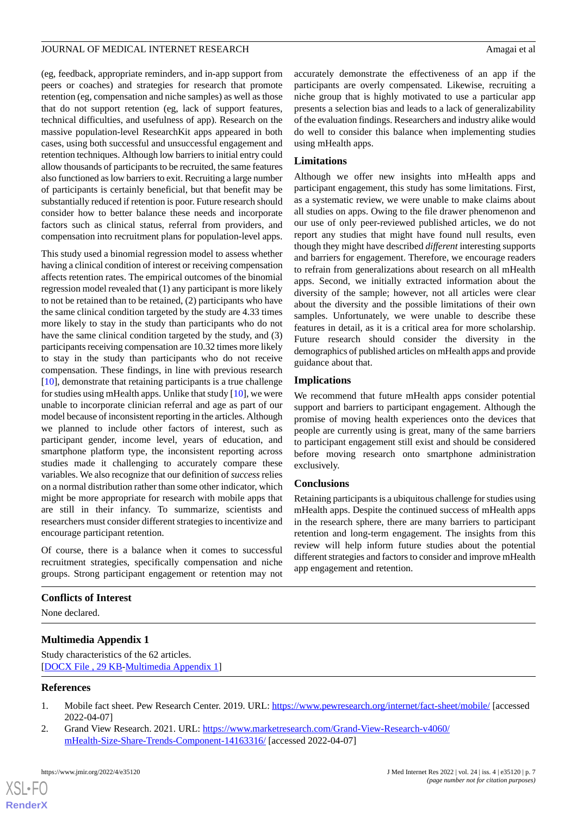(eg, feedback, appropriate reminders, and in-app support from peers or coaches) and strategies for research that promote retention (eg, compensation and niche samples) as well as those that do not support retention (eg, lack of support features, technical difficulties, and usefulness of app). Research on the massive population-level ResearchKit apps appeared in both cases, using both successful and unsuccessful engagement and retention techniques. Although low barriers to initial entry could allow thousands of participants to be recruited, the same features also functioned as low barriers to exit. Recruiting a large number of participants is certainly beneficial, but that benefit may be substantially reduced if retention is poor. Future research should consider how to better balance these needs and incorporate factors such as clinical status, referral from providers, and compensation into recruitment plans for population-level apps.

This study used a binomial regression model to assess whether having a clinical condition of interest or receiving compensation affects retention rates. The empirical outcomes of the binomial regression model revealed that (1) any participant is more likely to not be retained than to be retained, (2) participants who have the same clinical condition targeted by the study are 4.33 times more likely to stay in the study than participants who do not have the same clinical condition targeted by the study, and (3) participants receiving compensation are 10.32 times more likely to stay in the study than participants who do not receive compensation. These findings, in line with previous research [[10\]](#page-7-5), demonstrate that retaining participants is a true challenge for studies using mHealth apps. Unlike that study [[10\]](#page-7-5), we were unable to incorporate clinician referral and age as part of our model because of inconsistent reporting in the articles. Although we planned to include other factors of interest, such as participant gender, income level, years of education, and smartphone platform type, the inconsistent reporting across studies made it challenging to accurately compare these variables. We also recognize that our definition of *success* relies on a normal distribution rather than some other indicator, which might be more appropriate for research with mobile apps that are still in their infancy. To summarize, scientists and researchers must consider different strategies to incentivize and encourage participant retention.

Of course, there is a balance when it comes to successful recruitment strategies, specifically compensation and niche groups. Strong participant engagement or retention may not

#### <span id="page-6-2"></span>**Conflicts of Interest**

None declared.

#### <span id="page-6-0"></span>**Multimedia Appendix 1**

<span id="page-6-1"></span>Study characteristics of the 62 articles. [[DOCX File , 29 KB](https://jmir.org/api/download?alt_name=jmir_v24i4e35120_app1.docx&filename=f435e2520c24d1579b56bb0895941efc.docx)-[Multimedia Appendix 1\]](https://jmir.org/api/download?alt_name=jmir_v24i4e35120_app1.docx&filename=f435e2520c24d1579b56bb0895941efc.docx)

#### **References**

[XSL](http://www.w3.org/Style/XSL)•FO **[RenderX](http://www.renderx.com/)**

- 1. Mobile fact sheet. Pew Research Center. 2019. URL: <https://www.pewresearch.org/internet/fact-sheet/mobile/> [accessed] 2022-04-07]
- 2. Grand View Research. 2021. URL: [https://www.marketresearch.com/Grand-View-Research-v4060/](https://www.marketresearch.com/Grand-View-Research-v4060/mHealth-Size-Share-Trends-Component-14163316/) [mHealth-Size-Share-Trends-Component-14163316/](https://www.marketresearch.com/Grand-View-Research-v4060/mHealth-Size-Share-Trends-Component-14163316/) [accessed 2022-04-07]

accurately demonstrate the effectiveness of an app if the participants are overly compensated. Likewise, recruiting a niche group that is highly motivated to use a particular app presents a selection bias and leads to a lack of generalizability of the evaluation findings. Researchers and industry alike would do well to consider this balance when implementing studies using mHealth apps.

#### **Limitations**

Although we offer new insights into mHealth apps and participant engagement, this study has some limitations. First, as a systematic review, we were unable to make claims about all studies on apps. Owing to the file drawer phenomenon and our use of only peer-reviewed published articles, we do not report any studies that might have found null results, even though they might have described *different* interesting supports and barriers for engagement. Therefore, we encourage readers to refrain from generalizations about research on all mHealth apps. Second, we initially extracted information about the diversity of the sample; however, not all articles were clear about the diversity and the possible limitations of their own samples. Unfortunately, we were unable to describe these features in detail, as it is a critical area for more scholarship. Future research should consider the diversity in the demographics of published articles on mHealth apps and provide guidance about that.

### **Implications**

We recommend that future mHealth apps consider potential support and barriers to participant engagement. Although the promise of moving health experiences onto the devices that people are currently using is great, many of the same barriers to participant engagement still exist and should be considered before moving research onto smartphone administration exclusively.

#### **Conclusions**

Retaining participants is a ubiquitous challenge for studies using mHealth apps. Despite the continued success of mHealth apps in the research sphere, there are many barriers to participant retention and long-term engagement. The insights from this review will help inform future studies about the potential different strategies and factors to consider and improve mHealth app engagement and retention.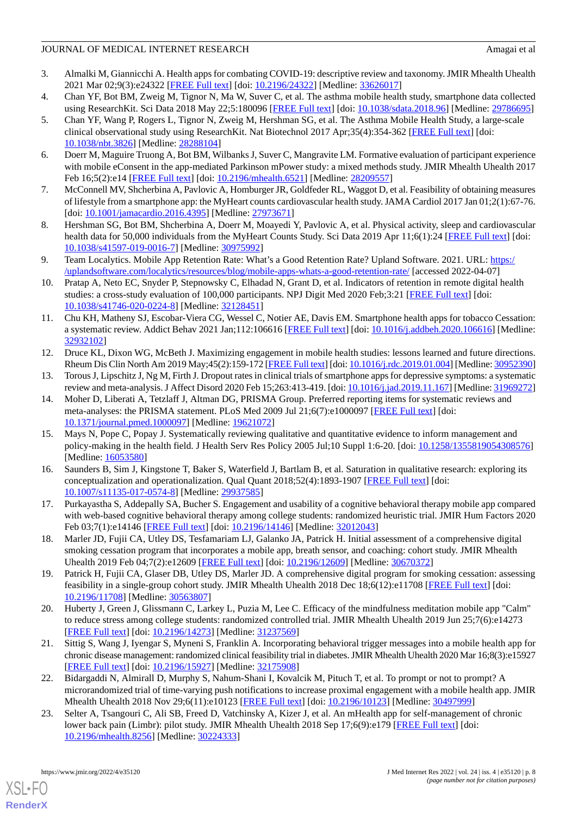- <span id="page-7-0"></span>3. Almalki M, Giannicchi A. Health apps for combating COVID-19: descriptive review and taxonomy. JMIR Mhealth Uhealth 2021 Mar 02;9(3):e24322 [[FREE Full text](https://mhealth.jmir.org/2021/3/e24322/)] [doi: [10.2196/24322\]](http://dx.doi.org/10.2196/24322) [Medline: [33626017](http://www.ncbi.nlm.nih.gov/entrez/query.fcgi?cmd=Retrieve&db=PubMed&list_uids=33626017&dopt=Abstract)]
- <span id="page-7-1"></span>4. Chan YF, Bot BM, Zweig M, Tignor N, Ma W, Suver C, et al. The asthma mobile health study, smartphone data collected using ResearchKit. Sci Data 2018 May 22;5:180096 [[FREE Full text\]](https://doi.org/10.1038/sdata.2018.96) [doi: [10.1038/sdata.2018.96\]](http://dx.doi.org/10.1038/sdata.2018.96) [Medline: [29786695\]](http://www.ncbi.nlm.nih.gov/entrez/query.fcgi?cmd=Retrieve&db=PubMed&list_uids=29786695&dopt=Abstract)
- 5. Chan YF, Wang P, Rogers L, Tignor N, Zweig M, Hershman SG, et al. The Asthma Mobile Health Study, a large-scale clinical observational study using ResearchKit. Nat Biotechnol 2017 Apr;35(4):354-362 [\[FREE Full text\]](http://europepmc.org/abstract/MED/28288104) [doi: [10.1038/nbt.3826](http://dx.doi.org/10.1038/nbt.3826)] [Medline: [28288104\]](http://www.ncbi.nlm.nih.gov/entrez/query.fcgi?cmd=Retrieve&db=PubMed&list_uids=28288104&dopt=Abstract)
- <span id="page-7-2"></span>6. Doerr M, Maguire Truong A, Bot BM, Wilbanks J, Suver C, Mangravite LM. Formative evaluation of participant experience with mobile eConsent in the app-mediated Parkinson mPower study: a mixed methods study. JMIR Mhealth Uhealth 2017 Feb 16;5(2):e14 [\[FREE Full text\]](https://mhealth.jmir.org/2017/2/e14/) [doi: [10.2196/mhealth.6521](http://dx.doi.org/10.2196/mhealth.6521)] [Medline: [28209557\]](http://www.ncbi.nlm.nih.gov/entrez/query.fcgi?cmd=Retrieve&db=PubMed&list_uids=28209557&dopt=Abstract)
- <span id="page-7-3"></span>7. McConnell MV, Shcherbina A, Pavlovic A, Homburger JR, Goldfeder RL, Waggot D, et al. Feasibility of obtaining measures of lifestyle from a smartphone app: the MyHeart counts cardiovascular health study. JAMA Cardiol 2017 Jan 01;2(1):67-76. [doi: [10.1001/jamacardio.2016.4395\]](http://dx.doi.org/10.1001/jamacardio.2016.4395) [Medline: [27973671](http://www.ncbi.nlm.nih.gov/entrez/query.fcgi?cmd=Retrieve&db=PubMed&list_uids=27973671&dopt=Abstract)]
- <span id="page-7-4"></span>8. Hershman SG, Bot BM, Shcherbina A, Doerr M, Moayedi Y, Pavlovic A, et al. Physical activity, sleep and cardiovascular health data for 50,000 individuals from the MyHeart Counts Study. Sci Data 2019 Apr 11;6(1):24 [\[FREE Full text\]](https://doi.org/10.1038/s41597-019-0016-7) [doi: [10.1038/s41597-019-0016-7\]](http://dx.doi.org/10.1038/s41597-019-0016-7) [Medline: [30975992](http://www.ncbi.nlm.nih.gov/entrez/query.fcgi?cmd=Retrieve&db=PubMed&list_uids=30975992&dopt=Abstract)]
- <span id="page-7-5"></span>9. Team Localytics. Mobile App Retention Rate: What's a Good Retention Rate? Upland Software. 2021. URL: [https:/](https://uplandsoftware.com/localytics/resources/blog/mobile-apps-whats-a-good-retention-rate/) [/uplandsoftware.com/localytics/resources/blog/mobile-apps-whats-a-good-retention-rate/](https://uplandsoftware.com/localytics/resources/blog/mobile-apps-whats-a-good-retention-rate/) [accessed 2022-04-07]
- <span id="page-7-6"></span>10. Pratap A, Neto EC, Snyder P, Stepnowsky C, Elhadad N, Grant D, et al. Indicators of retention in remote digital health studies: a cross-study evaluation of 100,000 participants. NPJ Digit Med 2020 Feb;3:21 [[FREE Full text](https://doi.org/10.1038/s41746-020-0224-8)] [doi: [10.1038/s41746-020-0224-8\]](http://dx.doi.org/10.1038/s41746-020-0224-8) [Medline: [32128451](http://www.ncbi.nlm.nih.gov/entrez/query.fcgi?cmd=Retrieve&db=PubMed&list_uids=32128451&dopt=Abstract)]
- 11. Chu KH, Matheny SJ, Escobar-Viera CG, Wessel C, Notier AE, Davis EM. Smartphone health apps for tobacco Cessation: a systematic review. Addict Behav 2021 Jan;112:106616 [[FREE Full text\]](http://europepmc.org/abstract/MED/32932102) [doi: [10.1016/j.addbeh.2020.106616\]](http://dx.doi.org/10.1016/j.addbeh.2020.106616) [Medline: [32932102](http://www.ncbi.nlm.nih.gov/entrez/query.fcgi?cmd=Retrieve&db=PubMed&list_uids=32932102&dopt=Abstract)]
- <span id="page-7-8"></span><span id="page-7-7"></span>12. Druce KL, Dixon WG, McBeth J. Maximizing engagement in mobile health studies: lessons learned and future directions. Rheum Dis Clin North Am 2019 May;45(2):159-172 [\[FREE Full text](https://linkinghub.elsevier.com/retrieve/pii/S0889-857X(19)30004-3)] [doi: [10.1016/j.rdc.2019.01.004](http://dx.doi.org/10.1016/j.rdc.2019.01.004)] [Medline: [30952390\]](http://www.ncbi.nlm.nih.gov/entrez/query.fcgi?cmd=Retrieve&db=PubMed&list_uids=30952390&dopt=Abstract)
- 13. Torous J, Lipschitz J, Ng M, Firth J. Dropout rates in clinical trials of smartphone apps for depressive symptoms: a systematic review and meta-analysis. J Affect Disord 2020 Feb 15;263:413-419. [doi: [10.1016/j.jad.2019.11.167](http://dx.doi.org/10.1016/j.jad.2019.11.167)] [Medline: [31969272\]](http://www.ncbi.nlm.nih.gov/entrez/query.fcgi?cmd=Retrieve&db=PubMed&list_uids=31969272&dopt=Abstract)
- <span id="page-7-9"></span>14. Moher D, Liberati A, Tetzlaff J, Altman DG, PRISMA Group. Preferred reporting items for systematic reviews and meta-analyses: the PRISMA statement. PLoS Med 2009 Jul 21;6(7):e1000097 [[FREE Full text](https://dx.plos.org/10.1371/journal.pmed.1000097)] [doi: [10.1371/journal.pmed.1000097](http://dx.doi.org/10.1371/journal.pmed.1000097)] [Medline: [19621072](http://www.ncbi.nlm.nih.gov/entrez/query.fcgi?cmd=Retrieve&db=PubMed&list_uids=19621072&dopt=Abstract)]
- <span id="page-7-10"></span>15. Mays N, Pope C, Popay J. Systematically reviewing qualitative and quantitative evidence to inform management and policy-making in the health field. J Health Serv Res Policy 2005 Jul;10 Suppl 1:6-20. [doi: [10.1258/1355819054308576](http://dx.doi.org/10.1258/1355819054308576)] [Medline: [16053580](http://www.ncbi.nlm.nih.gov/entrez/query.fcgi?cmd=Retrieve&db=PubMed&list_uids=16053580&dopt=Abstract)]
- <span id="page-7-13"></span><span id="page-7-11"></span>16. Saunders B, Sim J, Kingstone T, Baker S, Waterfield J, Bartlam B, et al. Saturation in qualitative research: exploring its conceptualization and operationalization. Qual Quant 2018;52(4):1893-1907 [[FREE Full text](http://europepmc.org/abstract/MED/29937585)] [doi: [10.1007/s11135-017-0574-8\]](http://dx.doi.org/10.1007/s11135-017-0574-8) [Medline: [29937585](http://www.ncbi.nlm.nih.gov/entrez/query.fcgi?cmd=Retrieve&db=PubMed&list_uids=29937585&dopt=Abstract)]
- 17. Purkayastha S, Addepally SA, Bucher S. Engagement and usability of a cognitive behavioral therapy mobile app compared with web-based cognitive behavioral therapy among college students: randomized heuristic trial. JMIR Hum Factors 2020 Feb 03;7(1):e14146 [[FREE Full text\]](https://humanfactors.jmir.org/2020/1/e14146/) [doi: [10.2196/14146](http://dx.doi.org/10.2196/14146)] [Medline: [32012043](http://www.ncbi.nlm.nih.gov/entrez/query.fcgi?cmd=Retrieve&db=PubMed&list_uids=32012043&dopt=Abstract)]
- 18. Marler JD, Fujii CA, Utley DS, Tesfamariam LJ, Galanko JA, Patrick H. Initial assessment of a comprehensive digital smoking cessation program that incorporates a mobile app, breath sensor, and coaching: cohort study. JMIR Mhealth Uhealth 2019 Feb 04;7(2):e12609 [\[FREE Full text\]](https://mhealth.jmir.org/2019/2/e12609/) [doi: [10.2196/12609](http://dx.doi.org/10.2196/12609)] [Medline: [30670372\]](http://www.ncbi.nlm.nih.gov/entrez/query.fcgi?cmd=Retrieve&db=PubMed&list_uids=30670372&dopt=Abstract)
- 19. Patrick H, Fujii CA, Glaser DB, Utley DS, Marler JD. A comprehensive digital program for smoking cessation: assessing feasibility in a single-group cohort study. JMIR Mhealth Uhealth 2018 Dec 18;6(12):e11708 [\[FREE Full text\]](https://mhealth.jmir.org/2018/12/e11708/) [doi: [10.2196/11708\]](http://dx.doi.org/10.2196/11708) [Medline: [30563807\]](http://www.ncbi.nlm.nih.gov/entrez/query.fcgi?cmd=Retrieve&db=PubMed&list_uids=30563807&dopt=Abstract)
- <span id="page-7-12"></span>20. Huberty J, Green J, Glissmann C, Larkey L, Puzia M, Lee C. Efficacy of the mindfulness meditation mobile app "Calm" to reduce stress among college students: randomized controlled trial. JMIR Mhealth Uhealth 2019 Jun 25;7(6):e14273 [[FREE Full text](https://mhealth.jmir.org/2019/6/e14273/)] [doi: [10.2196/14273\]](http://dx.doi.org/10.2196/14273) [Medline: [31237569\]](http://www.ncbi.nlm.nih.gov/entrez/query.fcgi?cmd=Retrieve&db=PubMed&list_uids=31237569&dopt=Abstract)
- 21. Sittig S, Wang J, Iyengar S, Myneni S, Franklin A. Incorporating behavioral trigger messages into a mobile health app for chronic disease management: randomized clinical feasibility trial in diabetes. JMIR Mhealth Uhealth 2020 Mar 16;8(3):e15927 [[FREE Full text](https://mhealth.jmir.org/2020/3/e15927/)] [doi: [10.2196/15927\]](http://dx.doi.org/10.2196/15927) [Medline: [32175908\]](http://www.ncbi.nlm.nih.gov/entrez/query.fcgi?cmd=Retrieve&db=PubMed&list_uids=32175908&dopt=Abstract)
- 22. Bidargaddi N, Almirall D, Murphy S, Nahum-Shani I, Kovalcik M, Pituch T, et al. To prompt or not to prompt? A microrandomized trial of time-varying push notifications to increase proximal engagement with a mobile health app. JMIR Mhealth Uhealth 2018 Nov 29;6(11):e10123 [\[FREE Full text\]](https://mhealth.jmir.org/2018/11/e10123/) [doi: [10.2196/10123\]](http://dx.doi.org/10.2196/10123) [Medline: [30497999\]](http://www.ncbi.nlm.nih.gov/entrez/query.fcgi?cmd=Retrieve&db=PubMed&list_uids=30497999&dopt=Abstract)
- 23. Selter A, Tsangouri C, Ali SB, Freed D, Vatchinsky A, Kizer J, et al. An mHealth app for self-management of chronic lower back pain (Limbr): pilot study. JMIR Mhealth Uhealth 2018 Sep 17;6(9):e179 [\[FREE Full text\]](https://mhealth.jmir.org/2018/9/e179/) [doi: [10.2196/mhealth.8256](http://dx.doi.org/10.2196/mhealth.8256)] [Medline: [30224333](http://www.ncbi.nlm.nih.gov/entrez/query.fcgi?cmd=Retrieve&db=PubMed&list_uids=30224333&dopt=Abstract)]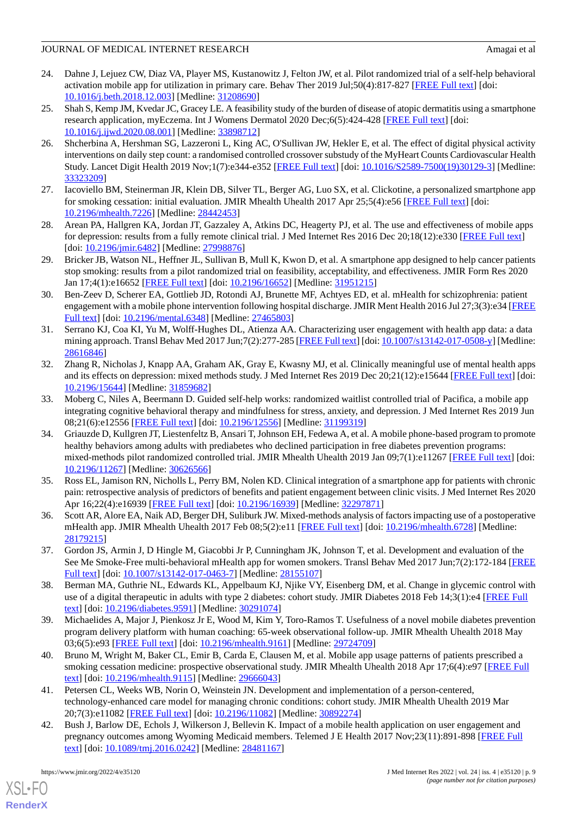- 24. Dahne J, Lejuez CW, Diaz VA, Player MS, Kustanowitz J, Felton JW, et al. Pilot randomized trial of a self-help behavioral activation mobile app for utilization in primary care. Behav Ther 2019 Jul;50(4):817-827 [\[FREE Full text\]](http://europepmc.org/abstract/MED/31208690) [doi: [10.1016/j.beth.2018.12.003\]](http://dx.doi.org/10.1016/j.beth.2018.12.003) [Medline: [31208690\]](http://www.ncbi.nlm.nih.gov/entrez/query.fcgi?cmd=Retrieve&db=PubMed&list_uids=31208690&dopt=Abstract)
- 25. Shah S, Kemp JM, Kvedar JC, Gracey LE. A feasibility study of the burden of disease of atopic dermatitis using a smartphone research application, myEczema. Int J Womens Dermatol 2020 Dec;6(5):424-428 [[FREE Full text](https://linkinghub.elsevier.com/retrieve/pii/S2352-6475(20)30127-1)] [doi: [10.1016/j.ijwd.2020.08.001](http://dx.doi.org/10.1016/j.ijwd.2020.08.001)] [Medline: [33898712](http://www.ncbi.nlm.nih.gov/entrez/query.fcgi?cmd=Retrieve&db=PubMed&list_uids=33898712&dopt=Abstract)]
- 26. Shcherbina A, Hershman SG, Lazzeroni L, King AC, O'Sullivan JW, Hekler E, et al. The effect of digital physical activity interventions on daily step count: a randomised controlled crossover substudy of the MyHeart Counts Cardiovascular Health Study. Lancet Digit Health 2019 Nov;1(7):e344-e352 [[FREE Full text](https://linkinghub.elsevier.com/retrieve/pii/S2589-7500(19)30129-3)] [doi: [10.1016/S2589-7500\(19\)30129-3\]](http://dx.doi.org/10.1016/S2589-7500(19)30129-3) [Medline: [33323209](http://www.ncbi.nlm.nih.gov/entrez/query.fcgi?cmd=Retrieve&db=PubMed&list_uids=33323209&dopt=Abstract)]
- 27. Iacoviello BM, Steinerman JR, Klein DB, Silver TL, Berger AG, Luo SX, et al. Clickotine, a personalized smartphone app for smoking cessation: initial evaluation. JMIR Mhealth Uhealth 2017 Apr 25;5(4):e56 [[FREE Full text](https://mhealth.jmir.org/2017/4/e56/)] [doi: [10.2196/mhealth.7226](http://dx.doi.org/10.2196/mhealth.7226)] [Medline: [28442453](http://www.ncbi.nlm.nih.gov/entrez/query.fcgi?cmd=Retrieve&db=PubMed&list_uids=28442453&dopt=Abstract)]
- 28. Arean PA, Hallgren KA, Jordan JT, Gazzaley A, Atkins DC, Heagerty PJ, et al. The use and effectiveness of mobile apps for depression: results from a fully remote clinical trial. J Med Internet Res 2016 Dec 20;18(12):e330 [[FREE Full text](https://www.jmir.org/2016/12/e330/)] [doi: [10.2196/jmir.6482\]](http://dx.doi.org/10.2196/jmir.6482) [Medline: [27998876\]](http://www.ncbi.nlm.nih.gov/entrez/query.fcgi?cmd=Retrieve&db=PubMed&list_uids=27998876&dopt=Abstract)
- 29. Bricker JB, Watson NL, Heffner JL, Sullivan B, Mull K, Kwon D, et al. A smartphone app designed to help cancer patients stop smoking: results from a pilot randomized trial on feasibility, acceptability, and effectiveness. JMIR Form Res 2020 Jan 17;4(1):e16652 [[FREE Full text](https://formative.jmir.org/2020/1/e16652/)] [doi: [10.2196/16652\]](http://dx.doi.org/10.2196/16652) [Medline: [31951215\]](http://www.ncbi.nlm.nih.gov/entrez/query.fcgi?cmd=Retrieve&db=PubMed&list_uids=31951215&dopt=Abstract)
- 30. Ben-Zeev D, Scherer EA, Gottlieb JD, Rotondi AJ, Brunette MF, Achtyes ED, et al. mHealth for schizophrenia: patient engagement with a mobile phone intervention following hospital discharge. JMIR Ment Health 2016 Jul 27;3(3):e34 [\[FREE](https://mental.jmir.org/2016/3/e34/) [Full text\]](https://mental.jmir.org/2016/3/e34/) [doi: [10.2196/mental.6348](http://dx.doi.org/10.2196/mental.6348)] [Medline: [27465803\]](http://www.ncbi.nlm.nih.gov/entrez/query.fcgi?cmd=Retrieve&db=PubMed&list_uids=27465803&dopt=Abstract)
- 31. Serrano KJ, Coa KI, Yu M, Wolff-Hughes DL, Atienza AA. Characterizing user engagement with health app data: a data mining approach. Transl Behav Med 2017 Jun;7(2):277-285 [[FREE Full text\]](http://europepmc.org/abstract/MED/28616846) [doi: [10.1007/s13142-017-0508-y](http://dx.doi.org/10.1007/s13142-017-0508-y)] [Medline: [28616846](http://www.ncbi.nlm.nih.gov/entrez/query.fcgi?cmd=Retrieve&db=PubMed&list_uids=28616846&dopt=Abstract)]
- 32. Zhang R, Nicholas J, Knapp AA, Graham AK, Gray E, Kwasny MJ, et al. Clinically meaningful use of mental health apps and its effects on depression: mixed methods study. J Med Internet Res 2019 Dec 20;21(12):e15644 [\[FREE Full text](https://www.jmir.org/2019/12/e15644/)] [doi: [10.2196/15644\]](http://dx.doi.org/10.2196/15644) [Medline: [31859682\]](http://www.ncbi.nlm.nih.gov/entrez/query.fcgi?cmd=Retrieve&db=PubMed&list_uids=31859682&dopt=Abstract)
- 33. Moberg C, Niles A, Beermann D. Guided self-help works: randomized waitlist controlled trial of Pacifica, a mobile app integrating cognitive behavioral therapy and mindfulness for stress, anxiety, and depression. J Med Internet Res 2019 Jun 08;21(6):e12556 [\[FREE Full text](https://www.jmir.org/2019/6/e12556/)] [doi: [10.2196/12556\]](http://dx.doi.org/10.2196/12556) [Medline: [31199319\]](http://www.ncbi.nlm.nih.gov/entrez/query.fcgi?cmd=Retrieve&db=PubMed&list_uids=31199319&dopt=Abstract)
- <span id="page-8-1"></span>34. Griauzde D, Kullgren JT, Liestenfeltz B, Ansari T, Johnson EH, Fedewa A, et al. A mobile phone-based program to promote healthy behaviors among adults with prediabetes who declined participation in free diabetes prevention programs: mixed-methods pilot randomized controlled trial. JMIR Mhealth Uhealth 2019 Jan 09;7(1):e11267 [[FREE Full text](https://mhealth.jmir.org/2019/1/e11267/)] [doi: [10.2196/11267\]](http://dx.doi.org/10.2196/11267) [Medline: [30626566\]](http://www.ncbi.nlm.nih.gov/entrez/query.fcgi?cmd=Retrieve&db=PubMed&list_uids=30626566&dopt=Abstract)
- 35. Ross EL, Jamison RN, Nicholls L, Perry BM, Nolen KD. Clinical integration of a smartphone app for patients with chronic pain: retrospective analysis of predictors of benefits and patient engagement between clinic visits. J Med Internet Res 2020 Apr 16;22(4):e16939 [\[FREE Full text\]](https://www.jmir.org/2020/4/e16939/) [doi: [10.2196/16939\]](http://dx.doi.org/10.2196/16939) [Medline: [32297871\]](http://www.ncbi.nlm.nih.gov/entrez/query.fcgi?cmd=Retrieve&db=PubMed&list_uids=32297871&dopt=Abstract)
- 36. Scott AR, Alore EA, Naik AD, Berger DH, Suliburk JW. Mixed-methods analysis of factors impacting use of a postoperative mHealth app. JMIR Mhealth Uhealth 2017 Feb 08;5(2):e11 [[FREE Full text](https://mhealth.jmir.org/2017/2/e11/)] [doi: [10.2196/mhealth.6728](http://dx.doi.org/10.2196/mhealth.6728)] [Medline: [28179215](http://www.ncbi.nlm.nih.gov/entrez/query.fcgi?cmd=Retrieve&db=PubMed&list_uids=28179215&dopt=Abstract)]
- 37. Gordon JS, Armin J, D Hingle M, Giacobbi Jr P, Cunningham JK, Johnson T, et al. Development and evaluation of the See Me Smoke-Free multi-behavioral mHealth app for women smokers. Transl Behav Med 2017 Jun;7(2):172-184 [\[FREE](http://europepmc.org/abstract/MED/28155107) [Full text\]](http://europepmc.org/abstract/MED/28155107) [doi: [10.1007/s13142-017-0463-7](http://dx.doi.org/10.1007/s13142-017-0463-7)] [Medline: [28155107](http://www.ncbi.nlm.nih.gov/entrez/query.fcgi?cmd=Retrieve&db=PubMed&list_uids=28155107&dopt=Abstract)]
- <span id="page-8-0"></span>38. Berman MA, Guthrie NL, Edwards KL, Appelbaum KJ, Njike VY, Eisenberg DM, et al. Change in glycemic control with use of a digital therapeutic in adults with type 2 diabetes: cohort study. JMIR Diabetes 2018 Feb 14;3(1):e4 [[FREE Full](https://diabetes.jmir.org/2018/1/e4/) [text](https://diabetes.jmir.org/2018/1/e4/)] [doi: [10.2196/diabetes.9591](http://dx.doi.org/10.2196/diabetes.9591)] [Medline: [30291074\]](http://www.ncbi.nlm.nih.gov/entrez/query.fcgi?cmd=Retrieve&db=PubMed&list_uids=30291074&dopt=Abstract)
- 39. Michaelides A, Major J, Pienkosz Jr E, Wood M, Kim Y, Toro-Ramos T. Usefulness of a novel mobile diabetes prevention program delivery platform with human coaching: 65-week observational follow-up. JMIR Mhealth Uhealth 2018 May 03;6(5):e93 [\[FREE Full text](https://mhealth.jmir.org/2018/5/e93/)] [doi: [10.2196/mhealth.9161\]](http://dx.doi.org/10.2196/mhealth.9161) [Medline: [29724709](http://www.ncbi.nlm.nih.gov/entrez/query.fcgi?cmd=Retrieve&db=PubMed&list_uids=29724709&dopt=Abstract)]
- 40. Bruno M, Wright M, Baker CL, Emir B, Carda E, Clausen M, et al. Mobile app usage patterns of patients prescribed a smoking cessation medicine: prospective observational study. JMIR Mhealth Uhealth 2018 Apr 17;6(4):e97 [\[FREE Full](https://mhealth.jmir.org/2018/4/e97/) [text](https://mhealth.jmir.org/2018/4/e97/)] [doi: [10.2196/mhealth.9115\]](http://dx.doi.org/10.2196/mhealth.9115) [Medline: [29666043](http://www.ncbi.nlm.nih.gov/entrez/query.fcgi?cmd=Retrieve&db=PubMed&list_uids=29666043&dopt=Abstract)]
- 41. Petersen CL, Weeks WB, Norin O, Weinstein JN. Development and implementation of a person-centered, technology-enhanced care model for managing chronic conditions: cohort study. JMIR Mhealth Uhealth 2019 Mar 20;7(3):e11082 [\[FREE Full text](https://mhealth.jmir.org/2019/3/e11082/)] [doi: [10.2196/11082\]](http://dx.doi.org/10.2196/11082) [Medline: [30892274\]](http://www.ncbi.nlm.nih.gov/entrez/query.fcgi?cmd=Retrieve&db=PubMed&list_uids=30892274&dopt=Abstract)
- 42. Bush J, Barlow DE, Echols J, Wilkerson J, Bellevin K. Impact of a mobile health application on user engagement and pregnancy outcomes among Wyoming Medicaid members. Telemed J E Health 2017 Nov;23(11):891-898 [\[FREE Full](http://europepmc.org/abstract/MED/28481167) [text](http://europepmc.org/abstract/MED/28481167)] [doi: [10.1089/tmj.2016.0242](http://dx.doi.org/10.1089/tmj.2016.0242)] [Medline: [28481167\]](http://www.ncbi.nlm.nih.gov/entrez/query.fcgi?cmd=Retrieve&db=PubMed&list_uids=28481167&dopt=Abstract)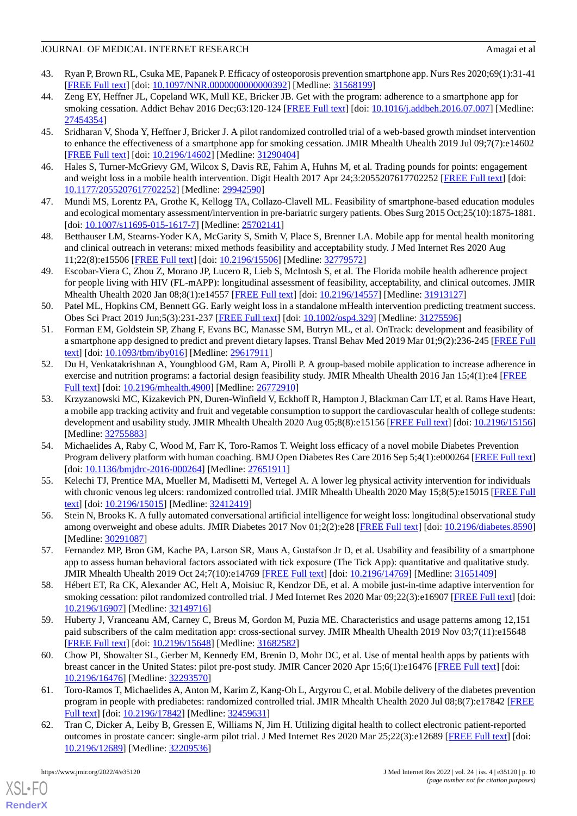- 43. Ryan P, Brown RL, Csuka ME, Papanek P. Efficacy of osteoporosis prevention smartphone app. Nurs Res 2020;69(1):31-41 [[FREE Full text](http://europepmc.org/abstract/MED/31568199)] [doi: [10.1097/NNR.0000000000000392](http://dx.doi.org/10.1097/NNR.0000000000000392)] [Medline: [31568199](http://www.ncbi.nlm.nih.gov/entrez/query.fcgi?cmd=Retrieve&db=PubMed&list_uids=31568199&dopt=Abstract)]
- 44. Zeng EY, Heffner JL, Copeland WK, Mull KE, Bricker JB. Get with the program: adherence to a smartphone app for smoking cessation. Addict Behav 2016 Dec;63:120-124 [\[FREE Full text](http://europepmc.org/abstract/MED/27454354)] [doi: [10.1016/j.addbeh.2016.07.007\]](http://dx.doi.org/10.1016/j.addbeh.2016.07.007) [Medline: [27454354](http://www.ncbi.nlm.nih.gov/entrez/query.fcgi?cmd=Retrieve&db=PubMed&list_uids=27454354&dopt=Abstract)]
- 45. Sridharan V, Shoda Y, Heffner J, Bricker J. A pilot randomized controlled trial of a web-based growth mindset intervention to enhance the effectiveness of a smartphone app for smoking cessation. JMIR Mhealth Uhealth 2019 Jul 09;7(7):e14602 [[FREE Full text](https://mhealth.jmir.org/2019/7/e14602/)] [doi: [10.2196/14602\]](http://dx.doi.org/10.2196/14602) [Medline: [31290404\]](http://www.ncbi.nlm.nih.gov/entrez/query.fcgi?cmd=Retrieve&db=PubMed&list_uids=31290404&dopt=Abstract)
- 46. Hales S, Turner-McGrievy GM, Wilcox S, Davis RE, Fahim A, Huhns M, et al. Trading pounds for points: engagement and weight loss in a mobile health intervention. Digit Health 2017 Apr 24;3:2055207617702252 [\[FREE Full text](https://journals.sagepub.com/doi/10.1177/2055207617702252?url_ver=Z39.88-2003&rfr_id=ori:rid:crossref.org&rfr_dat=cr_pub%3dpubmed)] [doi: [10.1177/2055207617702252\]](http://dx.doi.org/10.1177/2055207617702252) [Medline: [29942590\]](http://www.ncbi.nlm.nih.gov/entrez/query.fcgi?cmd=Retrieve&db=PubMed&list_uids=29942590&dopt=Abstract)
- 47. Mundi MS, Lorentz PA, Grothe K, Kellogg TA, Collazo-Clavell ML. Feasibility of smartphone-based education modules and ecological momentary assessment/intervention in pre-bariatric surgery patients. Obes Surg 2015 Oct;25(10):1875-1881.  $[doi: 10.1007/s11695-015-1617-7]$  $[doi: 10.1007/s11695-015-1617-7]$  $[doi: 10.1007/s11695-015-1617-7]$  [Medline: [25702141\]](http://www.ncbi.nlm.nih.gov/entrez/query.fcgi?cmd=Retrieve&db=PubMed&list_uids=25702141&dopt=Abstract)
- 48. Betthauser LM, Stearns-Yoder KA, McGarity S, Smith V, Place S, Brenner LA. Mobile app for mental health monitoring and clinical outreach in veterans: mixed methods feasibility and acceptability study. J Med Internet Res 2020 Aug 11;22(8):e15506 [\[FREE Full text](https://www.jmir.org/2020/8/e15506/)] [doi: [10.2196/15506\]](http://dx.doi.org/10.2196/15506) [Medline: [32779572\]](http://www.ncbi.nlm.nih.gov/entrez/query.fcgi?cmd=Retrieve&db=PubMed&list_uids=32779572&dopt=Abstract)
- 49. Escobar-Viera C, Zhou Z, Morano JP, Lucero R, Lieb S, McIntosh S, et al. The Florida mobile health adherence project for people living with HIV (FL-mAPP): longitudinal assessment of feasibility, acceptability, and clinical outcomes. JMIR Mhealth Uhealth 2020 Jan 08;8(1):e14557 [\[FREE Full text\]](https://mhealth.jmir.org/2020/1/e14557/) [doi: [10.2196/14557](http://dx.doi.org/10.2196/14557)] [Medline: [31913127](http://www.ncbi.nlm.nih.gov/entrez/query.fcgi?cmd=Retrieve&db=PubMed&list_uids=31913127&dopt=Abstract)]
- 50. Patel ML, Hopkins CM, Bennett GG. Early weight loss in a standalone mHealth intervention predicting treatment success. Obes Sci Pract 2019 Jun;5(3):231-237 [[FREE Full text](http://europepmc.org/abstract/MED/31275596)] [doi: [10.1002/osp4.329\]](http://dx.doi.org/10.1002/osp4.329) [Medline: [31275596\]](http://www.ncbi.nlm.nih.gov/entrez/query.fcgi?cmd=Retrieve&db=PubMed&list_uids=31275596&dopt=Abstract)
- 51. Forman EM, Goldstein SP, Zhang F, Evans BC, Manasse SM, Butryn ML, et al. OnTrack: development and feasibility of a smartphone app designed to predict and prevent dietary lapses. Transl Behav Med 2019 Mar 01;9(2):236-245 [\[FREE Full](http://europepmc.org/abstract/MED/29617911) [text](http://europepmc.org/abstract/MED/29617911)] [doi: [10.1093/tbm/iby016\]](http://dx.doi.org/10.1093/tbm/iby016) [Medline: [29617911\]](http://www.ncbi.nlm.nih.gov/entrez/query.fcgi?cmd=Retrieve&db=PubMed&list_uids=29617911&dopt=Abstract)
- 52. Du H, Venkatakrishnan A, Youngblood GM, Ram A, Pirolli P. A group-based mobile application to increase adherence in exercise and nutrition programs: a factorial design feasibility study. JMIR Mhealth Uhealth 2016 Jan 15;4(1):e4 [\[FREE](https://mhealth.jmir.org/2016/1/e4/) [Full text\]](https://mhealth.jmir.org/2016/1/e4/) [doi: [10.2196/mhealth.4900](http://dx.doi.org/10.2196/mhealth.4900)] [Medline: [26772910\]](http://www.ncbi.nlm.nih.gov/entrez/query.fcgi?cmd=Retrieve&db=PubMed&list_uids=26772910&dopt=Abstract)
- 53. Krzyzanowski MC, Kizakevich PN, Duren-Winfield V, Eckhoff R, Hampton J, Blackman Carr LT, et al. Rams Have Heart, a mobile app tracking activity and fruit and vegetable consumption to support the cardiovascular health of college students: development and usability study. JMIR Mhealth Uhealth 2020 Aug 05;8(8):e15156 [[FREE Full text](https://mhealth.jmir.org/2020/8/e15156/)] [doi: [10.2196/15156](http://dx.doi.org/10.2196/15156)] [Medline: [32755883](http://www.ncbi.nlm.nih.gov/entrez/query.fcgi?cmd=Retrieve&db=PubMed&list_uids=32755883&dopt=Abstract)]
- 54. Michaelides A, Raby C, Wood M, Farr K, Toro-Ramos T. Weight loss efficacy of a novel mobile Diabetes Prevention Program delivery platform with human coaching. BMJ Open Diabetes Res Care 2016 Sep 5;4(1):e000264 [[FREE Full text](https://drc.bmj.com/lookup/pmidlookup?view=long&pmid=27651911)] [doi: [10.1136/bmjdrc-2016-000264](http://dx.doi.org/10.1136/bmjdrc-2016-000264)] [Medline: [27651911\]](http://www.ncbi.nlm.nih.gov/entrez/query.fcgi?cmd=Retrieve&db=PubMed&list_uids=27651911&dopt=Abstract)
- <span id="page-9-0"></span>55. Kelechi TJ, Prentice MA, Mueller M, Madisetti M, Vertegel A. A lower leg physical activity intervention for individuals with chronic venous leg ulcers: randomized controlled trial. JMIR Mhealth Uhealth 2020 May 15;8(5):e15015 [[FREE Full](https://mhealth.jmir.org/2020/5/e15015/) [text](https://mhealth.jmir.org/2020/5/e15015/)] [doi: [10.2196/15015\]](http://dx.doi.org/10.2196/15015) [Medline: [32412419\]](http://www.ncbi.nlm.nih.gov/entrez/query.fcgi?cmd=Retrieve&db=PubMed&list_uids=32412419&dopt=Abstract)
- 56. Stein N, Brooks K. A fully automated conversational artificial intelligence for weight loss: longitudinal observational study among overweight and obese adults. JMIR Diabetes 2017 Nov 01;2(2):e28 [\[FREE Full text\]](https://diabetes.jmir.org/2017/2/e28/) [doi: [10.2196/diabetes.8590](http://dx.doi.org/10.2196/diabetes.8590)] [Medline: [30291087](http://www.ncbi.nlm.nih.gov/entrez/query.fcgi?cmd=Retrieve&db=PubMed&list_uids=30291087&dopt=Abstract)]
- 57. Fernandez MP, Bron GM, Kache PA, Larson SR, Maus A, Gustafson Jr D, et al. Usability and feasibility of a smartphone app to assess human behavioral factors associated with tick exposure (The Tick App): quantitative and qualitative study. JMIR Mhealth Uhealth 2019 Oct 24;7(10):e14769 [[FREE Full text](https://mhealth.jmir.org/2019/10/e14769/)] [doi: [10.2196/14769\]](http://dx.doi.org/10.2196/14769) [Medline: [31651409](http://www.ncbi.nlm.nih.gov/entrez/query.fcgi?cmd=Retrieve&db=PubMed&list_uids=31651409&dopt=Abstract)]
- 58. Hébert ET, Ra CK, Alexander AC, Helt A, Moisiuc R, Kendzor DE, et al. A mobile just-in-time adaptive intervention for smoking cessation: pilot randomized controlled trial. J Med Internet Res 2020 Mar 09;22(3):e16907 [[FREE Full text](https://www.jmir.org/2020/3/e16907/)] [doi: [10.2196/16907\]](http://dx.doi.org/10.2196/16907) [Medline: [32149716\]](http://www.ncbi.nlm.nih.gov/entrez/query.fcgi?cmd=Retrieve&db=PubMed&list_uids=32149716&dopt=Abstract)
- 59. Huberty J, Vranceanu AM, Carney C, Breus M, Gordon M, Puzia ME. Characteristics and usage patterns among 12,151 paid subscribers of the calm meditation app: cross-sectional survey. JMIR Mhealth Uhealth 2019 Nov 03;7(11):e15648 [[FREE Full text](https://mhealth.jmir.org/2019/11/e15648/)] [doi: [10.2196/15648\]](http://dx.doi.org/10.2196/15648) [Medline: [31682582\]](http://www.ncbi.nlm.nih.gov/entrez/query.fcgi?cmd=Retrieve&db=PubMed&list_uids=31682582&dopt=Abstract)
- 60. Chow PI, Showalter SL, Gerber M, Kennedy EM, Brenin D, Mohr DC, et al. Use of mental health apps by patients with breast cancer in the United States: pilot pre-post study. JMIR Cancer 2020 Apr 15;6(1):e16476 [[FREE Full text](https://cancer.jmir.org/2020/1/e16476/)] [doi: [10.2196/16476\]](http://dx.doi.org/10.2196/16476) [Medline: [32293570\]](http://www.ncbi.nlm.nih.gov/entrez/query.fcgi?cmd=Retrieve&db=PubMed&list_uids=32293570&dopt=Abstract)
- 61. Toro-Ramos T, Michaelides A, Anton M, Karim Z, Kang-Oh L, Argyrou C, et al. Mobile delivery of the diabetes prevention program in people with prediabetes: randomized controlled trial. JMIR Mhealth Uhealth 2020 Jul 08;8(7):e17842 [[FREE](https://mhealth.jmir.org/2020/7/e17842/) [Full text\]](https://mhealth.jmir.org/2020/7/e17842/) [doi: [10.2196/17842\]](http://dx.doi.org/10.2196/17842) [Medline: [32459631](http://www.ncbi.nlm.nih.gov/entrez/query.fcgi?cmd=Retrieve&db=PubMed&list_uids=32459631&dopt=Abstract)]
- 62. Tran C, Dicker A, Leiby B, Gressen E, Williams N, Jim H. Utilizing digital health to collect electronic patient-reported outcomes in prostate cancer: single-arm pilot trial. J Med Internet Res 2020 Mar 25;22(3):e12689 [[FREE Full text](https://www.jmir.org/2020/3/e12689/)] [doi: [10.2196/12689\]](http://dx.doi.org/10.2196/12689) [Medline: [32209536\]](http://www.ncbi.nlm.nih.gov/entrez/query.fcgi?cmd=Retrieve&db=PubMed&list_uids=32209536&dopt=Abstract)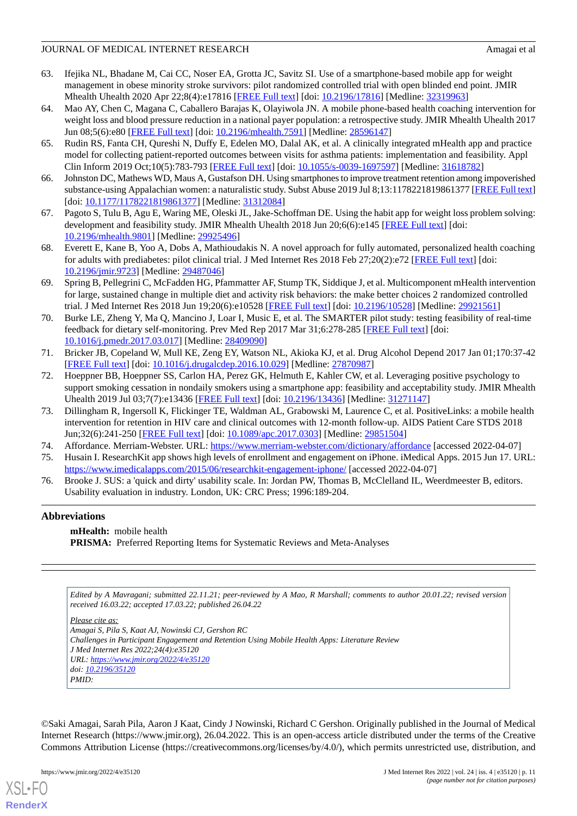- 63. Ifejika NL, Bhadane M, Cai CC, Noser EA, Grotta JC, Savitz SI. Use of a smartphone-based mobile app for weight management in obese minority stroke survivors: pilot randomized controlled trial with open blinded end point. JMIR Mhealth Uhealth 2020 Apr 22;8(4):e17816 [[FREE Full text\]](https://mhealth.jmir.org/2020/4/e17816/) [doi: [10.2196/17816](http://dx.doi.org/10.2196/17816)] [Medline: [32319963](http://www.ncbi.nlm.nih.gov/entrez/query.fcgi?cmd=Retrieve&db=PubMed&list_uids=32319963&dopt=Abstract)]
- <span id="page-10-2"></span>64. Mao AY, Chen C, Magana C, Caballero Barajas K, Olayiwola JN. A mobile phone-based health coaching intervention for weight loss and blood pressure reduction in a national payer population: a retrospective study. JMIR Mhealth Uhealth 2017 Jun 08;5(6):e80 [\[FREE Full text\]](https://mhealth.jmir.org/2017/6/e80/) [doi: [10.2196/mhealth.7591](http://dx.doi.org/10.2196/mhealth.7591)] [Medline: [28596147\]](http://www.ncbi.nlm.nih.gov/entrez/query.fcgi?cmd=Retrieve&db=PubMed&list_uids=28596147&dopt=Abstract)
- 65. Rudin RS, Fanta CH, Qureshi N, Duffy E, Edelen MO, Dalal AK, et al. A clinically integrated mHealth app and practice model for collecting patient-reported outcomes between visits for asthma patients: implementation and feasibility. Appl Clin Inform 2019 Oct;10(5):783-793 [[FREE Full text](http://europepmc.org/abstract/MED/31618782)] [doi: [10.1055/s-0039-1697597](http://dx.doi.org/10.1055/s-0039-1697597)] [Medline: [31618782](http://www.ncbi.nlm.nih.gov/entrez/query.fcgi?cmd=Retrieve&db=PubMed&list_uids=31618782&dopt=Abstract)]
- 66. Johnston DC, Mathews WD, Maus A, Gustafson DH. Using smartphones to improve treatment retention among impoverished substance-using Appalachian women: a naturalistic study. Subst Abuse 2019 Jul 8;13:1178221819861377 [\[FREE Full text](https://journals.sagepub.com/doi/10.1177/1178221819861377?url_ver=Z39.88-2003&rfr_id=ori:rid:crossref.org&rfr_dat=cr_pub%3dpubmed)] [doi: [10.1177/1178221819861377](http://dx.doi.org/10.1177/1178221819861377)] [Medline: [31312084\]](http://www.ncbi.nlm.nih.gov/entrez/query.fcgi?cmd=Retrieve&db=PubMed&list_uids=31312084&dopt=Abstract)
- 67. Pagoto S, Tulu B, Agu E, Waring ME, Oleski JL, Jake-Schoffman DE. Using the habit app for weight loss problem solving: development and feasibility study. JMIR Mhealth Uhealth 2018 Jun 20;6(6):e145 [\[FREE Full text\]](https://mhealth.jmir.org/2018/6/e145/) [doi: [10.2196/mhealth.9801](http://dx.doi.org/10.2196/mhealth.9801)] [Medline: [29925496](http://www.ncbi.nlm.nih.gov/entrez/query.fcgi?cmd=Retrieve&db=PubMed&list_uids=29925496&dopt=Abstract)]
- 68. Everett E, Kane B, Yoo A, Dobs A, Mathioudakis N. A novel approach for fully automated, personalized health coaching for adults with prediabetes: pilot clinical trial. J Med Internet Res 2018 Feb 27;20(2):e72 [[FREE Full text](https://www.jmir.org/2018/2/e72/)] [doi: [10.2196/jmir.9723](http://dx.doi.org/10.2196/jmir.9723)] [Medline: [29487046](http://www.ncbi.nlm.nih.gov/entrez/query.fcgi?cmd=Retrieve&db=PubMed&list_uids=29487046&dopt=Abstract)]
- 69. Spring B, Pellegrini C, McFadden HG, Pfammatter AF, Stump TK, Siddique J, et al. Multicomponent mHealth intervention for large, sustained change in multiple diet and activity risk behaviors: the make better choices 2 randomized controlled trial. J Med Internet Res 2018 Jun 19;20(6):e10528 [\[FREE Full text\]](https://www.jmir.org/2018/6/e10528/) [doi: [10.2196/10528](http://dx.doi.org/10.2196/10528)] [Medline: [29921561](http://www.ncbi.nlm.nih.gov/entrez/query.fcgi?cmd=Retrieve&db=PubMed&list_uids=29921561&dopt=Abstract)]
- 70. Burke LE, Zheng Y, Ma Q, Mancino J, Loar I, Music E, et al. The SMARTER pilot study: testing feasibility of real-time feedback for dietary self-monitoring. Prev Med Rep 2017 Mar 31;6:278-285 [\[FREE Full text\]](https://linkinghub.elsevier.com/retrieve/pii/S2211-3355(17)30059-1) [doi: [10.1016/j.pmedr.2017.03.017\]](http://dx.doi.org/10.1016/j.pmedr.2017.03.017) [Medline: [28409090](http://www.ncbi.nlm.nih.gov/entrez/query.fcgi?cmd=Retrieve&db=PubMed&list_uids=28409090&dopt=Abstract)]
- <span id="page-10-3"></span>71. Bricker JB, Copeland W, Mull KE, Zeng EY, Watson NL, Akioka KJ, et al. Drug Alcohol Depend 2017 Jan 01;170:37-42 [[FREE Full text](http://europepmc.org/abstract/MED/27870987)] [doi: [10.1016/j.drugalcdep.2016.10.029\]](http://dx.doi.org/10.1016/j.drugalcdep.2016.10.029) [Medline: [27870987\]](http://www.ncbi.nlm.nih.gov/entrez/query.fcgi?cmd=Retrieve&db=PubMed&list_uids=27870987&dopt=Abstract)
- <span id="page-10-0"></span>72. Hoeppner BB, Hoeppner SS, Carlon HA, Perez GK, Helmuth E, Kahler CW, et al. Leveraging positive psychology to support smoking cessation in nondaily smokers using a smartphone app: feasibility and acceptability study. JMIR Mhealth Uhealth 2019 Jul 03;7(7):e13436 [[FREE Full text](https://mhealth.jmir.org/2019/7/e13436/)] [doi: [10.2196/13436\]](http://dx.doi.org/10.2196/13436) [Medline: [31271147](http://www.ncbi.nlm.nih.gov/entrez/query.fcgi?cmd=Retrieve&db=PubMed&list_uids=31271147&dopt=Abstract)]
- <span id="page-10-4"></span><span id="page-10-1"></span>73. Dillingham R, Ingersoll K, Flickinger TE, Waldman AL, Grabowski M, Laurence C, et al. PositiveLinks: a mobile health intervention for retention in HIV care and clinical outcomes with 12-month follow-up. AIDS Patient Care STDS 2018 Jun;32(6):241-250 [[FREE Full text](http://europepmc.org/abstract/MED/29851504)] [doi: [10.1089/apc.2017.0303\]](http://dx.doi.org/10.1089/apc.2017.0303) [Medline: [29851504](http://www.ncbi.nlm.nih.gov/entrez/query.fcgi?cmd=Retrieve&db=PubMed&list_uids=29851504&dopt=Abstract)]
- <span id="page-10-5"></span>74. Affordance. Merriam-Webster. URL:<https://www.merriam-webster.com/dictionary/affordance> [accessed 2022-04-07]
- 75. Husain I. ResearchKit app shows high levels of enrollment and engagement on iPhone. iMedical Apps. 2015 Jun 17. URL: <https://www.imedicalapps.com/2015/06/researchkit-engagement-iphone/> [accessed 2022-04-07]
- 76. Brooke J. SUS: a 'quick and dirty' usability scale. In: Jordan PW, Thomas B, McClelland IL, Weerdmeester B, editors. Usability evaluation in industry. London, UK: CRC Press; 1996:189-204.

# **Abbreviations**

**mHealth:** mobile health **PRISMA:** Preferred Reporting Items for Systematic Reviews and Meta-Analyses

*Edited by A Mavragani; submitted 22.11.21; peer-reviewed by A Mao, R Marshall; comments to author 20.01.22; revised version received 16.03.22; accepted 17.03.22; published 26.04.22*

*Please cite as: Amagai S, Pila S, Kaat AJ, Nowinski CJ, Gershon RC Challenges in Participant Engagement and Retention Using Mobile Health Apps: Literature Review J Med Internet Res 2022;24(4):e35120 URL: <https://www.jmir.org/2022/4/e35120> doi: [10.2196/35120](http://dx.doi.org/10.2196/35120) PMID:*

©Saki Amagai, Sarah Pila, Aaron J Kaat, Cindy J Nowinski, Richard C Gershon. Originally published in the Journal of Medical Internet Research (https://www.jmir.org), 26.04.2022. This is an open-access article distributed under the terms of the Creative Commons Attribution License (https://creativecommons.org/licenses/by/4.0/), which permits unrestricted use, distribution, and